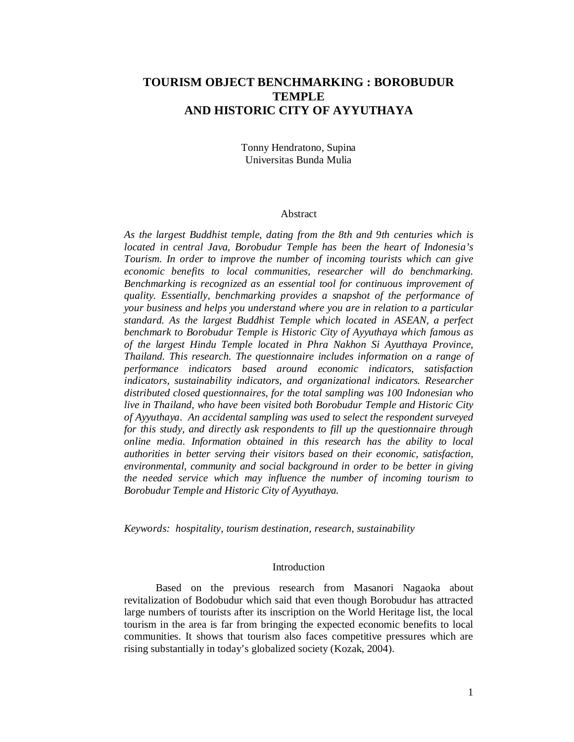# **TOURISM OBJECT BENCHMARKING : BOROBUDUR TEMPLE AND HISTORIC CITY OF AYYUTHAYA**

Tonny Hendratono, Supina Universitas Bunda Mulia

#### Abstract

*As the largest Buddhist temple, dating from the 8th and 9th centuries which is located in central Java, Borobudur Temple has been the heart of Indonesia's Tourism. In order to improve the number of incoming tourists which can give economic benefits to local communities, researcher will do benchmarking. Benchmarking is recognized as an essential tool for continuous improvement of quality. Essentially, benchmarking provides a snapshot of the performance of your business and helps you understand where you are in relation to a particular standard. As the largest Buddhist Temple which located in ASEAN, a perfect benchmark to Borobudur Temple is Historic City of Ayyuthaya which famous as of the largest Hindu Temple located in Phra Nakhon Si Ayutthaya Province, Thailand. This research. The questionnaire includes information on a range of performance indicators based around economic indicators, satisfaction indicators, sustainability indicators, and organizational indicators. Researcher distributed closed questionnaires, for the total sampling was 100 Indonesian who live in Thailand, who have been visited both Borobudur Temple and Historic City of Ayyuthaya. An accidental sampling was used to select the respondent surveyed for this study, and directly ask respondents to fill up the questionnaire through online media. Information obtained in this research has the ability to local authorities in better serving their visitors based on their economic, satisfaction, environmental, community and social background in order to be better in giving the needed service which may influence the number of incoming tourism to Borobudur Temple and Historic City of Ayyuthaya.*

*Keywords: hospitality, tourism destination, research, sustainability*

## Introduction

Based on the previous research from Masanori Nagaoka about revitalization of Bodobudur which said that even though Borobudur has attracted large numbers of tourists after its inscription on the World Heritage list, the local tourism in the area is far from bringing the expected economic benefits to local communities. It shows that tourism also faces competitive pressures which are rising substantially in today's globalized society (Kozak, 2004).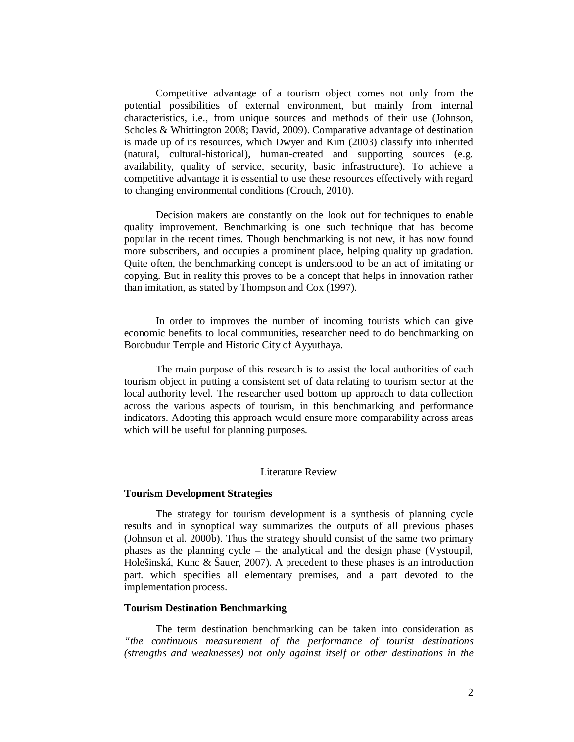Competitive advantage of a tourism object comes not only from the potential possibilities of external environment, but mainly from internal characteristics, i.e., from unique sources and methods of their use (Johnson, Scholes & Whittington 2008; David, 2009). Comparative advantage of destination is made up of its resources, which Dwyer and Kim (2003) classify into inherited (natural, cultural-historical), human-created and supporting sources (e.g. availability, quality of service, security, basic infrastructure). To achieve a competitive advantage it is essential to use these resources effectively with regard to changing environmental conditions (Crouch, 2010).

Decision makers are constantly on the look out for techniques to enable quality improvement. Benchmarking is one such technique that has become popular in the recent times. Though benchmarking is not new, it has now found more subscribers, and occupies a prominent place, helping quality up gradation. Quite often, the benchmarking concept is understood to be an act of imitating or copying. But in reality this proves to be a concept that helps in innovation rather than imitation, as stated by Thompson and Cox (1997).

In order to improves the number of incoming tourists which can give economic benefits to local communities, researcher need to do benchmarking on Borobudur Temple and Historic City of Ayyuthaya.

The main purpose of this research is to assist the local authorities of each tourism object in putting a consistent set of data relating to tourism sector at the local authority level. The researcher used bottom up approach to data collection across the various aspects of tourism, in this benchmarking and performance indicators. Adopting this approach would ensure more comparability across areas which will be useful for planning purposes.

#### Literature Review

#### **Tourism Development Strategies**

The strategy for tourism development is a synthesis of planning cycle results and in synoptical way summarizes the outputs of all previous phases (Johnson et al. 2000b). Thus the strategy should consist of the same two primary phases as the planning cycle – the analytical and the design phase (Vystoupil, Holešinská, Kunc & Šauer, 2007). A precedent to these phases is an introduction part. which specifies all elementary premises, and a part devoted to the implementation process.

### **Tourism Destination Benchmarking**

The term destination benchmarking can be taken into consideration as *"the continuous measurement of the performance of tourist destinations (strengths and weaknesses) not only against itself or other destinations in the*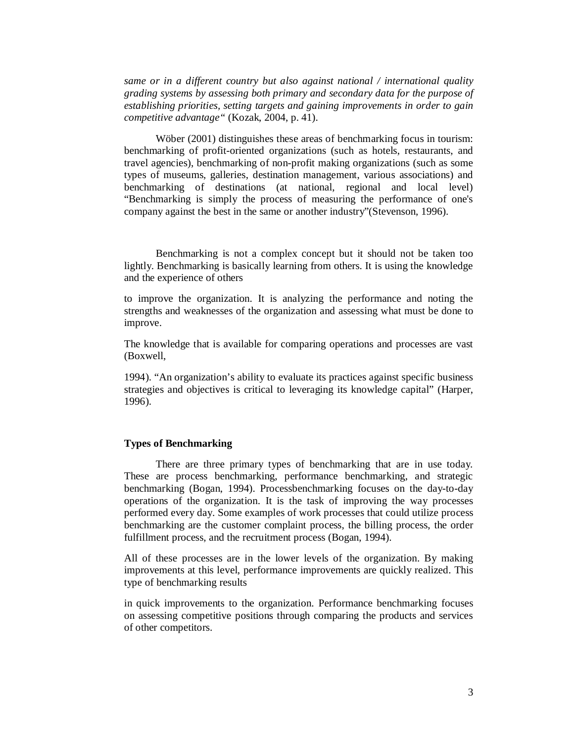*same or in a different country but also against national / international quality grading systems by assessing both primary and secondary data for the purpose of establishing priorities, setting targets and gaining improvements in order to gain competitive advantage"* (Kozak, 2004, p. 41).

Wöber (2001) distinguishes these areas of benchmarking focus in tourism: benchmarking of profit-oriented organizations (such as hotels, restaurants, and travel agencies), benchmarking of non-profit making organizations (such as some types of museums, galleries, destination management, various associations) and benchmarking of destinations (at national, regional and local level) "Benchmarking is simply the process of measuring the performance of one's company against the best in the same or another industry"(Stevenson, 1996).

Benchmarking is not a complex concept but it should not be taken too lightly. Benchmarking is basically learning from others. It is using the knowledge and the experience of others

to improve the organization. It is analyzing the performance and noting the strengths and weaknesses of the organization and assessing what must be done to improve.

The knowledge that is available for comparing operations and processes are vast (Boxwell,

1994). "An organization's ability to evaluate its practices against specific business strategies and objectives is critical to leveraging its knowledge capital" (Harper, 1996).

# **Types of Benchmarking**

There are three primary types of benchmarking that are in use today. These are process benchmarking, performance benchmarking, and strategic benchmarking (Bogan, 1994). Processbenchmarking focuses on the day-to-day operations of the organization. It is the task of improving the way processes performed every day. Some examples of work processes that could utilize process benchmarking are the customer complaint process, the billing process, the order fulfillment process, and the recruitment process (Bogan, 1994).

All of these processes are in the lower levels of the organization. By making improvements at this level, performance improvements are quickly realized. This type of benchmarking results

in quick improvements to the organization. Performance benchmarking focuses on assessing competitive positions through comparing the products and services of other competitors.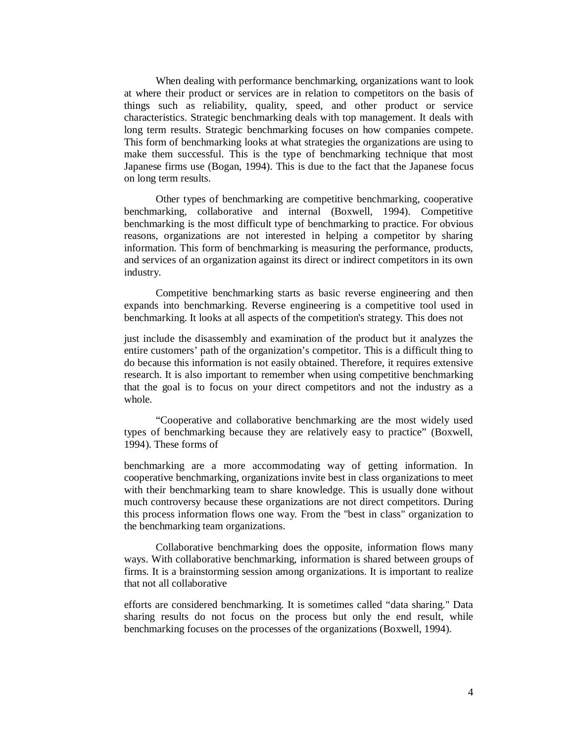When dealing with performance benchmarking, organizations want to look at where their product or services are in relation to competitors on the basis of things such as reliability, quality, speed, and other product or service characteristics. Strategic benchmarking deals with top management. It deals with long term results. Strategic benchmarking focuses on how companies compete. This form of benchmarking looks at what strategies the organizations are using to make them successful. This is the type of benchmarking technique that most Japanese firms use (Bogan, 1994). This is due to the fact that the Japanese focus on long term results.

Other types of benchmarking are competitive benchmarking, cooperative benchmarking, collaborative and internal (Boxwell, 1994). Competitive benchmarking is the most difficult type of benchmarking to practice. For obvious reasons, organizations are not interested in helping a competitor by sharing information. This form of benchmarking is measuring the performance, products, and services of an organization against its direct or indirect competitors in its own industry.

Competitive benchmarking starts as basic reverse engineering and then expands into benchmarking. Reverse engineering is a competitive tool used in benchmarking. It looks at all aspects of the competition's strategy. This does not

just include the disassembly and examination of the product but it analyzes the entire customers' path of the organization's competitor. This is a difficult thing to do because this information is not easily obtained. Therefore, it requires extensive research. It is also important to remember when using competitive benchmarking that the goal is to focus on your direct competitors and not the industry as a whole.

"Cooperative and collaborative benchmarking are the most widely used types of benchmarking because they are relatively easy to practice" (Boxwell, 1994). These forms of

benchmarking are a more accommodating way of getting information. In cooperative benchmarking, organizations invite best in class organizations to meet with their benchmarking team to share knowledge. This is usually done without much controversy because these organizations are not direct competitors. During this process information flows one way. From the "best in class" organization to the benchmarking team organizations.

Collaborative benchmarking does the opposite, information flows many ways. With collaborative benchmarking, information is shared between groups of firms. It is a brainstorming session among organizations. It is important to realize that not all collaborative

efforts are considered benchmarking. It is sometimes called "data sharing." Data sharing results do not focus on the process but only the end result, while benchmarking focuses on the processes of the organizations (Boxwell, 1994).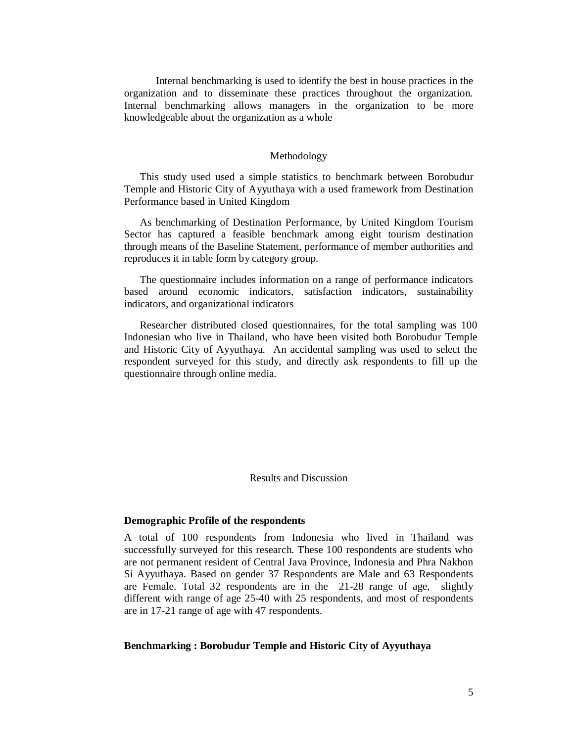Internal benchmarking is used to identify the best in house practices in the organization and to disseminate these practices throughout the organization. Internal benchmarking allows managers in the organization to be more knowledgeable about the organization as a whole

## Methodology

This study used used a simple statistics to benchmark between Borobudur Temple and Historic City of Ayyuthaya with a used framework from Destination Performance based in United Kingdom

As benchmarking of Destination Performance, by United Kingdom Tourism Sector has captured a feasible benchmark among eight tourism destination through means of the Baseline Statement, performance of member authorities and reproduces it in table form by category group.

The questionnaire includes information on a range of performance indicators based around economic indicators, satisfaction indicators, sustainability indicators, and organizational indicators

Researcher distributed closed questionnaires, for the total sampling was 100 Indonesian who live in Thailand, who have been visited both Borobudur Temple and Historic City of Ayyuthaya. An accidental sampling was used to select the respondent surveyed for this study, and directly ask respondents to fill up the questionnaire through online media.

Results and Discussion

## **Demographic Profile of the respondents**

A total of 100 respondents from Indonesia who lived in Thailand was successfully surveyed for this research. These 100 respondents are students who are not permanent resident of Central Java Province, Indonesia and Phra Nakhon Si Ayyuthaya. Based on gender 37 Respondents are Male and 63 Respondents are Female. Total 32 respondents are in the 21-28 range of age, slightly different with range of age 25-40 with 25 respondents, and most of respondents are in 17-21 range of age with 47 respondents.

## **Benchmarking : Borobudur Temple and Historic City of Ayyuthaya**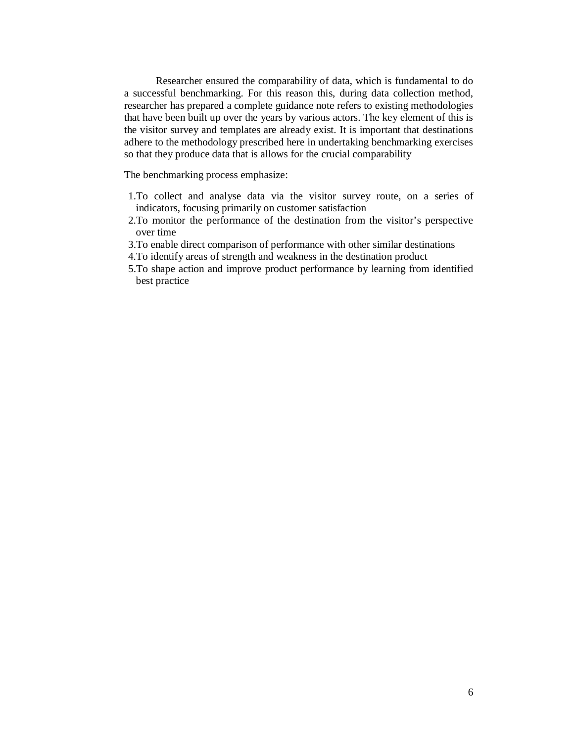Researcher ensured the comparability of data, which is fundamental to do a successful benchmarking. For this reason this, during data collection method, researcher has prepared a complete guidance note refers to existing methodologies that have been built up over the years by various actors. The key element of this is the visitor survey and templates are already exist. It is important that destinations adhere to the methodology prescribed here in undertaking benchmarking exercises so that they produce data that is allows for the crucial comparability

The benchmarking process emphasize:

- 1.To collect and analyse data via the visitor survey route, on a series of indicators, focusing primarily on customer satisfaction
- 2.To monitor the performance of the destination from the visitor's perspective over time
- 3.To enable direct comparison of performance with other similar destinations
- 4.To identify areas of strength and weakness in the destination product
- 5.To shape action and improve product performance by learning from identified best practice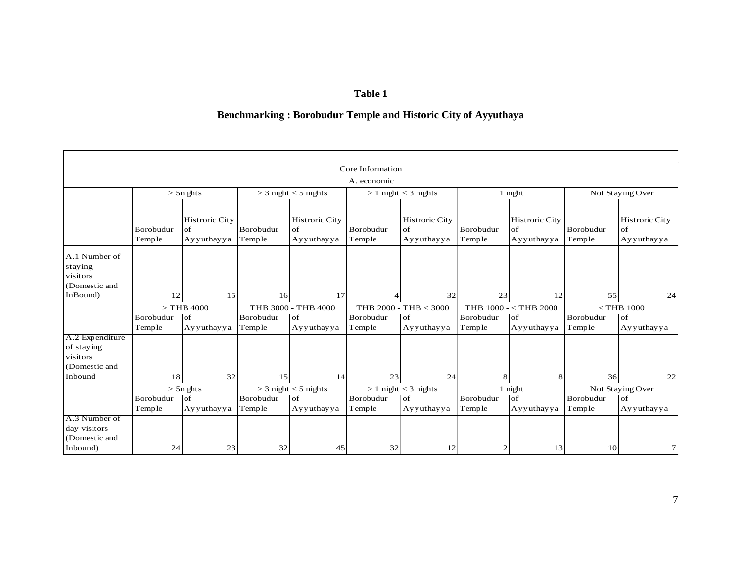# **Table 1**

# **Benchmarking : Borobudur Temple and Historic City of Ayyuthaya**

|                                                                       |                     |                                    |                          |                                    | Core Information       |                                           |                       |                                           |                     |                                           |
|-----------------------------------------------------------------------|---------------------|------------------------------------|--------------------------|------------------------------------|------------------------|-------------------------------------------|-----------------------|-------------------------------------------|---------------------|-------------------------------------------|
|                                                                       |                     |                                    |                          |                                    | A. economic            |                                           |                       |                                           |                     |                                           |
|                                                                       |                     |                                    |                          |                                    |                        |                                           |                       |                                           |                     |                                           |
|                                                                       | $>$ 5nights         |                                    | $>$ 3 night $<$ 5 nights |                                    | $> 1$ night < 3 nights |                                           | 1 night               |                                           | Not Staying Over    |                                           |
|                                                                       | Borobudur<br>Temple | Histroric City<br>of<br>Ayyuthayya | Borobudur<br>Temple      | Histroric City<br>of<br>Ayyuthayya | Borobudur<br>Temple    | <b>Histroric City</b><br>of<br>Ayyuthayya | Borobudur<br>Temple   | <b>Histroric City</b><br>of<br>Ayyuthayya | Borobudur<br>Temple | <b>Histroric City</b><br>of<br>Ayyuthayya |
| A.1 Number of<br>staying<br>visitors<br>(Domestic and<br>InBound)     |                     |                                    |                          |                                    |                        |                                           |                       |                                           |                     |                                           |
|                                                                       | 12                  | 15                                 | 16                       | 17                                 | 4                      | 32                                        | 23                    | 12                                        | 55                  | 24                                        |
|                                                                       | $>$ THB 4000        |                                    | THB 3000 - THB 4000      |                                    | THB 2000 - THB < 3000  |                                           | THB 1000 - < THB 2000 |                                           | $<$ THB $1000\,$    |                                           |
|                                                                       | Borobudur<br>Temple | of<br>Ayyuthayya                   | Borobudur<br>Temple      | of<br>Ayyuthayya                   | Borobudur<br>Temple    | lof<br>Ayyuthayya                         | Borobudur<br>Temple   | $\overline{of}$<br>Ayyuthayya             | Borobudur<br>Temple | $\overline{of}$<br>Ayyuthayya             |
| A.2 Expenditure<br>of staying<br>visitors<br>(Domestic and<br>Inbound | 18                  | 32                                 | 15                       | 14                                 | 23                     | 24                                        | 8                     | 8                                         | 36                  | 22                                        |
|                                                                       | $>$ 5nights         |                                    | $>$ 3 night $<$ 5 nights |                                    | $> 1$ night < 3 nights |                                           | 1 night               |                                           | Not Staying Over    |                                           |
|                                                                       | Borobudur<br>of     |                                    | Borobudur<br>of          |                                    | Borobudur<br>lof       | Borobudur<br>of                           |                       | Borobudur                                 | of                  |                                           |
|                                                                       | Temple              | Ayyuthayya                         | Temple                   | Ayyuthayya                         | Temple                 | Ayyuthayya                                | Temple                | Ayyuthayya                                | Temple              | Ayyuthayya                                |
| A.3 Number of<br>day visitors<br>(Domestic and<br>Inbound)            | 24                  | 23                                 | 32                       | 45                                 | 32                     | 12                                        | $\overline{2}$        | 13                                        | 10                  | 7                                         |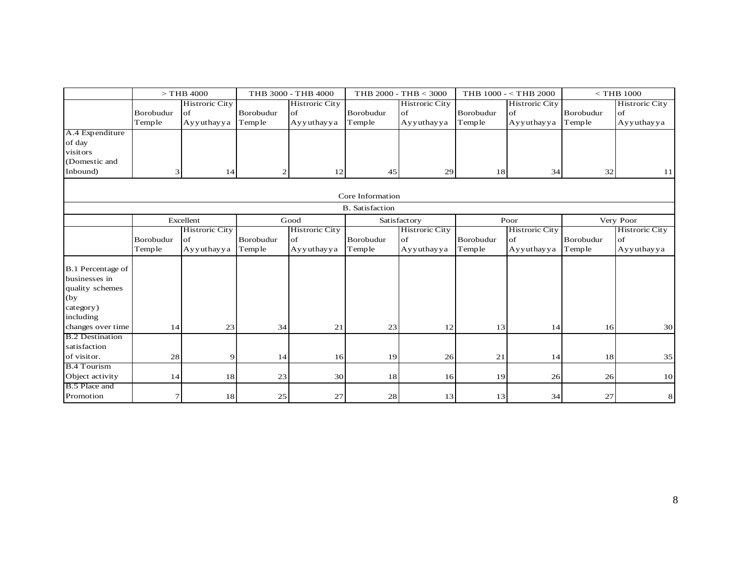|                        | $>$ THB 4000   |                       | THB 3000 - THB 4000 |                       | THB 2000 - THB < 3000 |                       | THB 1000 - < THB 2000 |                       | $<$ THB 1000 |                       |
|------------------------|----------------|-----------------------|---------------------|-----------------------|-----------------------|-----------------------|-----------------------|-----------------------|--------------|-----------------------|
|                        |                | <b>Histroric City</b> |                     | <b>Histroric City</b> |                       | <b>Histroric City</b> |                       | <b>Histroric City</b> |              | <b>Histroric City</b> |
|                        | Borobudur      | of                    | Borobudur           | of                    | <b>Borobudur</b>      | of                    | Borobudur             | of                    | Borobudur    | of                    |
|                        | Temple         | Ayyuthayya            | Temple              | Ayyuthayya            | Temple                | Ayyuthayya            | Temple                | Ayyuthayya            | Temple       | Ayyuthayya            |
| A.4 Expenditure        |                |                       |                     |                       |                       |                       |                       |                       |              |                       |
| of day                 |                |                       |                     |                       |                       |                       |                       |                       |              |                       |
| visitors               |                |                       |                     |                       |                       |                       |                       |                       |              |                       |
| (Domestic and          |                |                       |                     |                       |                       |                       |                       |                       |              |                       |
| Inbound)               | 3              | 14                    | 2                   | 12                    | 45                    | 29                    | 18                    | 34                    | 32           | 11                    |
|                        |                |                       |                     |                       |                       |                       |                       |                       |              |                       |
| Core Information       |                |                       |                     |                       |                       |                       |                       |                       |              |                       |
| <b>B.</b> Satisfaction |                |                       |                     |                       |                       |                       |                       |                       |              |                       |
|                        |                | Excellent             | Good                |                       | Satisfactory          |                       | Poor                  |                       | Very Poor    |                       |
|                        |                | <b>Histroric City</b> |                     | <b>Histroric City</b> |                       | <b>Histroric City</b> |                       | Histroric City        |              | <b>Histroric City</b> |
|                        | Borobudur      | of                    | Borobudur           | of                    | <b>Borobudur</b>      | of                    | Borobudur             | of                    | Borobudur    | of                    |
|                        | Temple         | Ayyuthayya            | Temple              | Ayyuthayya            | Temple                | Ayyuthayya            | Temple                | Ayyuthayya            | Temple       | Ayyuthayya            |
| B.1 Percentage of      |                |                       |                     |                       |                       |                       |                       |                       |              |                       |
| businesses in          |                |                       |                     |                       |                       |                       |                       |                       |              |                       |
| quality schemes        |                |                       |                     |                       |                       |                       |                       |                       |              |                       |
| (by)                   |                |                       |                     |                       |                       |                       |                       |                       |              |                       |
| category)              |                |                       |                     |                       |                       |                       |                       |                       |              |                       |
| including              |                |                       |                     |                       |                       |                       |                       |                       |              |                       |
| changes over time      | 14             | 23                    | 34                  | 21                    | 23                    | 12                    | 13                    | 14                    | 16           | 30 <sup>1</sup>       |
| <b>B.2</b> Destination |                |                       |                     |                       |                       |                       |                       |                       |              |                       |
| satisfaction           |                |                       |                     |                       |                       |                       |                       |                       |              |                       |
| of visitor.            | 28             | 9                     | 14                  | 16                    | 19                    | 26                    | 21                    | 14                    | 18           | 35                    |
| <b>B.4 Tourism</b>     |                |                       |                     |                       |                       |                       |                       |                       |              |                       |
| Object activity        | 14             | 18                    | 23                  | 30                    | 18                    | 16                    | 19                    | 26                    | 26           | 10 <sup>1</sup>       |
| B.5 Place and          |                |                       |                     |                       |                       |                       |                       |                       |              |                       |
| Promotion              | $\overline{7}$ | 18                    | 25                  | 27                    | 28                    | 13                    | 13                    | 34                    | 27           | 8                     |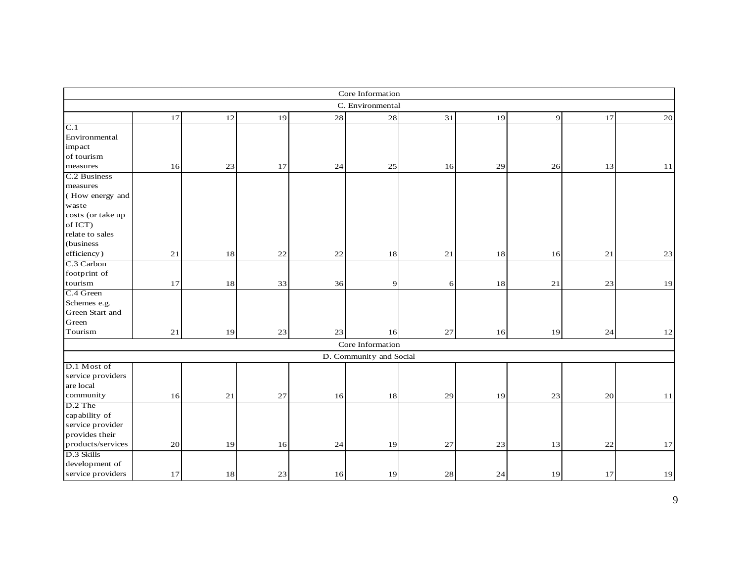|                   |    |    |    |    | Core Information        |    |    |    |    |    |
|-------------------|----|----|----|----|-------------------------|----|----|----|----|----|
|                   |    |    |    |    | C. Environmental        |    |    |    |    |    |
|                   | 17 | 12 | 19 | 28 | 28                      | 31 | 19 | 9  | 17 | 20 |
| C.1               |    |    |    |    |                         |    |    |    |    |    |
| Environmental     |    |    |    |    |                         |    |    |    |    |    |
| impact            |    |    |    |    |                         |    |    |    |    |    |
| of tourism        |    |    |    |    |                         |    |    |    |    |    |
| measures          | 16 | 23 | 17 | 24 | 25                      | 16 | 29 | 26 | 13 | 11 |
| C.2 Business      |    |    |    |    |                         |    |    |    |    |    |
| measures          |    |    |    |    |                         |    |    |    |    |    |
| (How energy and   |    |    |    |    |                         |    |    |    |    |    |
| waste             |    |    |    |    |                         |    |    |    |    |    |
| costs (or take up |    |    |    |    |                         |    |    |    |    |    |
| of ICT)           |    |    |    |    |                         |    |    |    |    |    |
| relate to sales   |    |    |    |    |                         |    |    |    |    |    |
| (business         |    |    |    |    |                         |    |    |    |    |    |
| efficiency)       | 21 | 18 | 22 | 22 | 18                      | 21 | 18 | 16 | 21 | 23 |
| C.3 Carbon        |    |    |    |    |                         |    |    |    |    |    |
| footprint of      |    |    |    |    |                         |    |    |    |    |    |
| tourism           | 17 | 18 | 33 | 36 | 9                       | 6  | 18 | 21 | 23 | 19 |
| C.4 Green         |    |    |    |    |                         |    |    |    |    |    |
| Schemes e.g.      |    |    |    |    |                         |    |    |    |    |    |
| Green Start and   |    |    |    |    |                         |    |    |    |    |    |
| Green             |    |    |    |    |                         |    |    |    |    |    |
| Tourism           | 21 | 19 | 23 | 23 | 16                      | 27 | 16 | 19 | 24 | 12 |
|                   |    |    |    |    | Core Information        |    |    |    |    |    |
|                   |    |    |    |    | D. Community and Social |    |    |    |    |    |
| D.1 Most of       |    |    |    |    |                         |    |    |    |    |    |
| service providers |    |    |    |    |                         |    |    |    |    |    |
| are local         |    |    |    |    |                         |    |    |    |    |    |
| community         | 16 | 21 | 27 | 16 | 18                      | 29 | 19 | 23 | 20 | 11 |
| D.2 The           |    |    |    |    |                         |    |    |    |    |    |
| capability of     |    |    |    |    |                         |    |    |    |    |    |
| service provider  |    |    |    |    |                         |    |    |    |    |    |
| provides their    |    |    |    |    |                         |    |    |    |    |    |
| products/services | 20 | 19 | 16 | 24 | 19                      | 27 | 23 | 13 | 22 | 17 |
| D.3 Skills        |    |    |    |    |                         |    |    |    |    |    |
| development of    |    |    |    |    |                         |    |    |    |    |    |
| service providers | 17 | 18 | 23 | 16 | 19                      | 28 | 24 | 19 | 17 | 19 |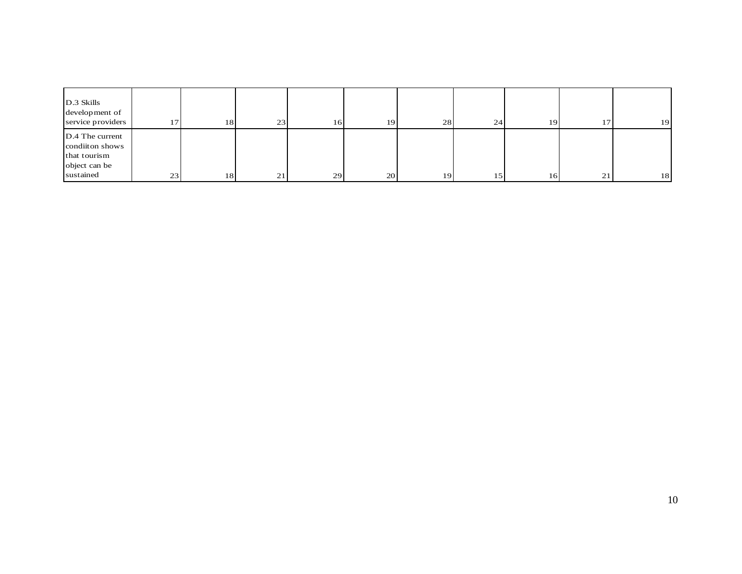| D.3 Skills<br>development of<br>service providers                                | 17 | 18 | 23 | 161 | 19 | 28              | 24 | 19              | 171 | 19 |
|----------------------------------------------------------------------------------|----|----|----|-----|----|-----------------|----|-----------------|-----|----|
| D.4 The current<br>condition shows<br>that tourism<br>object can be<br>sustained | 23 | 18 | 21 | 29  | 20 | 19 <sup> </sup> | 15 | 16 <sup>l</sup> | 211 | 18 |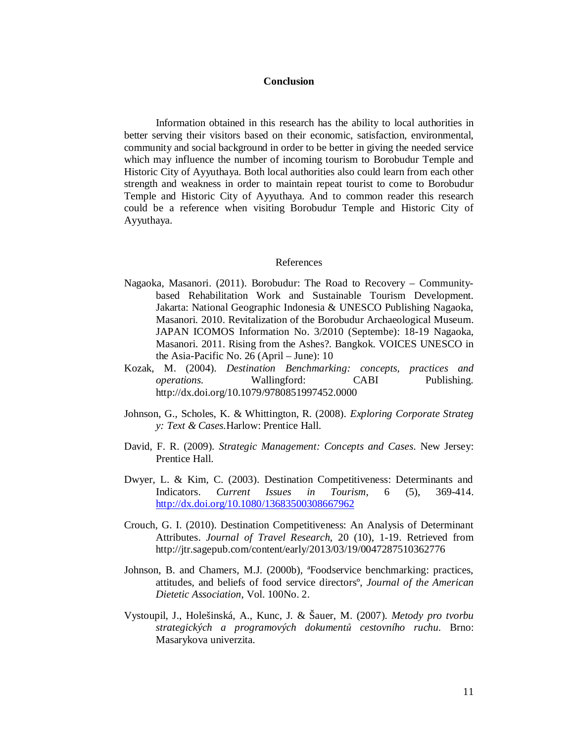### **Conclusion**

Information obtained in this research has the ability to local authorities in better serving their visitors based on their economic, satisfaction, environmental, community and social background in order to be better in giving the needed service which may influence the number of incoming tourism to Borobudur Temple and Historic City of Ayyuthaya. Both local authorities also could learn from each other strength and weakness in order to maintain repeat tourist to come to Borobudur Temple and Historic City of Ayyuthaya. And to common reader this research could be a reference when visiting Borobudur Temple and Historic City of Ayyuthaya.

### References

- Nagaoka, Masanori. (2011). Borobudur: The Road to Recovery Communitybased Rehabilitation Work and Sustainable Tourism Development. Jakarta: National Geographic Indonesia & UNESCO Publishing Nagaoka, Masanori. 2010. Revitalization of the Borobudur Archaeological Museum. JAPAN ICOMOS Information No. 3/2010 (Septembe): 18-19 Nagaoka, Masanori. 2011. Rising from the Ashes?. Bangkok. VOICES UNESCO in the Asia-Pacific No. 26 (April – June): 10
- Kozak, M. (2004). *Destination Benchmarking: concepts, practices and operations.* Wallingford: CABI Publishing. <http://dx.doi.org/10.1079/9780851997452.0000>
- Johnson, G., Scholes, K. & Whittington, R. (2008). *Exploring Corporate Strateg y: Text & Cases.*Harlow: Prentice Hall.
- David, F. R. (2009). *Strategic Management: Concepts and Cases*. New Jersey: Prentice Hall.
- Dwyer, L. & Kim, C. (2003). Destination Competitiveness: Determinants and Indicators. *Current Issues in Tourism*, 6 (5), 369-414. <http://dx.doi.org/10.1080/13683500308667962>
- Crouch, G. I. (2010). Destination Competitiveness: An Analysis of Determinant Attributes. *Journal of Travel Research*, 20 (10), 1-19. Retrieved from <http://jtr.sagepub.com/content/early/2013/03/19/0047287510362776>
- Johnson, B. and Chamers, M.J. (2000b), ªFoodservice benchmarking: practices, attitudes, and beliefs of food service directorsº, *Journal of the American Dietetic Association*, Vol. 100No. 2.
- Vystoupil, J., Holešinská, A., Kunc, J. & Šauer, M. (2007). *Metody pro tvorbu strategických a programových dokumentů cestovního ruchu.* Brno: Masarykova univerzita.